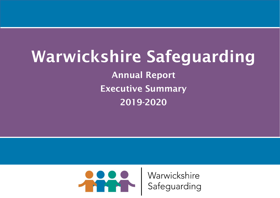# Warwickshire Safeguarding Annual Report

Executive Summary

2019-2020



Warwickshire Safeguarding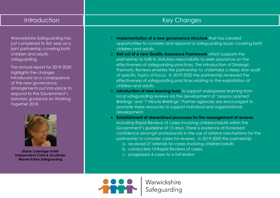#### Introduction

Warwickshire Safeguarding has just completed its first year as a joint partnership covering both children and adults safeguarding.

The annual report for 2019-2020 highlights the changes introduced as a consequence of the new governance arrangements put into place to respond to the Government's statutory guidance on Working Together 2018.



**Elaine Coleridge-Smith Independent Chair & Scrutineer Warwickshire Safeguarding**

### Key Changes

- 1. **Implementation of a new governance structure** that has created opportunities to consider and respond to safeguarding issues covering both children and adults
- 2. **Roll out of a new Quality Assurance Framework** which supports the partnership to fulfil its statutory responsibility to seek assurance on the effectiveness of safeguarding practices. The introduction of Strategic Thematic Reviews enables the partnership to undertake a deep dive audit of specific topics of focus. In 2019-2020 the partnership reviewed the effectiveness of safeguarding practices relating to the exploitation of children and adults.
- 3. **Introduction of new learning tools** to support widespread learning from local safeguarding reviews via the development of 'Lessons Learned Briefings' and '7 Minute Briefings'. Partner agencies are encouraged to promote these resources to support individual and organisational development.
- 4. **Establishment of streamlined processes for the management of reviews** including Rapid Reviews of cases involving children/adults within the Government's guideline of 15 days. There is evidence of increased confidence amongst professionals in the use of referral mechanisms for the partnership to consider cases for reviews. In 2019-2020 the partnership
	- a. received 21 referrals for cases involving children/adults
	- b. conducted 14 Rapid Reviews of cases
	- c. progressed 4 cases to a full review

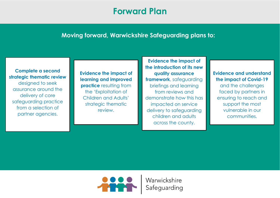## **Forward Plan**

#### **Moving forward, Warwickshire Safeguarding plans to:**

**Complete a second strategic thematic review** designed to seek assurance around the delivery of core safeguarding practice from a selection of partner agencies.

**Evidence the impact of learning and improved practice** resulting from the 'Exploitation of Children and Adults' strategic thematic review.

**Evidence the impact of the introduction of its new quality assurance framework**, safeguarding briefings and learning from reviews and demonstrate how this has impacted on service delivery to safeguarding children and adults across the county.

#### **Evidence and understand the impact of Covid-19**

and the challenges faced by partners in ensuring to reach and support the most vulnerable in our communities.

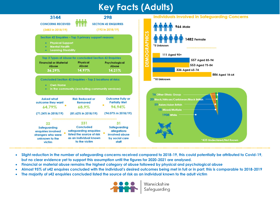## **Key Facts (Adults)**





- **Slight reduction in the number of safeguarding concerns received compared to 2018-19, this could potentially be attributed to Covid-19, but no clear evidence yet to support this assumption until the figures for 2020-2021 are analysed.**
- **Financial or material abuse remains the highest category of abuse followed by physical and psychological abuse**
- **Almost 95% of s42 enquires concluded with the individual's desired outcomes being met in full or in part; this is comparable to 2018-2019**
- **The majority of s42 enquiries concluded listed the source of risk as an individual known to the adult victim**



Warwickshire Safeguarding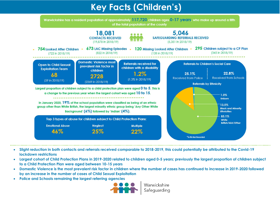## **Key Facts (Children's)**

Warwickshire has a resident population of approximately 117,720 children ages 0-17 years, who make up around a fifth of the total population of the county



- **Slight reduction in both contacts and referrals received comparable to 2018-2019, this could potentially be attributed to the Covid-19 lockdown restrictions**
- **Largest cohort of Child Protection Plans in 2019-2020 related to children aged 0-5 years; previously the largest proportion of children subject to a Child Protection Plan were aged between 10-15 years**
- **Domestic Violence is the most prevalent risk factor in children where the number of cases has continued to increase in 2019-2020 followed by an increase in the number of cases of Child Sexual Exploitation**
- **Police and Schools remaining the largest referring agencies**



Warwickshire Safeguarding